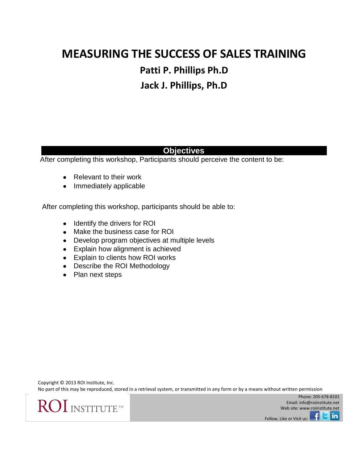# **MEASURING THE SUCCESS OF SALES TRAINING Patti P. Phillips Ph.D Jack J. Phillips, Ph.D**

### **Objectives**

After completing this workshop, Participants should perceive the content to be:

- Relevant to their work  $\bullet$
- Immediately applicable

After completing this workshop, participants should be able to:

- Identify the drivers for ROI
- Make the business case for ROI
- Develop program objectives at multiple levels
- Explain how alignment is achieved
- Explain to clients how ROI works
- Describe the ROI Methodology
- Plan next steps

Copyright © 2013 ROI Institute, Inc. No part of this may be reproduced, stored in a retrieval system, or transmitted in any form or by a means without written permission



Phone: 205-678-8101 Email[: info@roiinstitute.net](mailto:info@roiinstitute.net) Web site: www.roiinstitute.net

Follow, Like or Visit us:

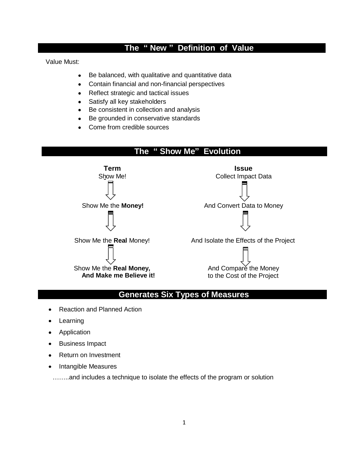### **The " New " Definition of Value**

Value Must:

- Be balanced, with qualitative and quantitative data  $\bullet$
- Contain financial and non-financial perspectives
- Reflect strategic and tactical issues
- Satisfy all key stakeholders
- Be consistent in collection and analysis
- Be grounded in conservative standards
- Come from credible sources





### **Generates Six Types of Measures**

- Reaction and Planned Action
- Learning
- Application  $\bullet$
- Business Impact  $\bullet$
- Return on Investment  $\bullet$
- Intangible Measures  $\bullet$

……..and includes a technique to isolate the effects of the program or solution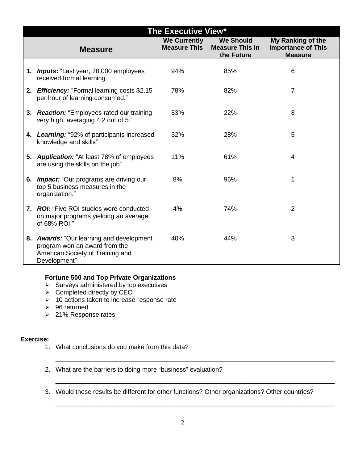| <b>The Executive View*</b>                                                                                                    |                                            |                                                          |                                                                  |
|-------------------------------------------------------------------------------------------------------------------------------|--------------------------------------------|----------------------------------------------------------|------------------------------------------------------------------|
| <b>Measure</b>                                                                                                                | <b>We Currently</b><br><b>Measure This</b> | <b>We Should</b><br><b>Measure This in</b><br>the Future | My Ranking of the<br><b>Importance of This</b><br><b>Measure</b> |
| 1. <b>Inputs:</b> "Last year, 78,000 employees<br>received formal learning.                                                   | 94%                                        | 85%                                                      | 6                                                                |
| 2. Efficiency: "Formal learning costs \$2.15<br>per hour of learning consumed."                                               | 78%                                        | 82%                                                      | 7                                                                |
| 3. Reaction: "Employees rated our training<br>very high, averaging 4.2 out of 5."                                             | 53%                                        | 22%                                                      | 8                                                                |
| 4. Learning: "92% of participants increased<br>knowledge and skills"                                                          | 32%                                        | 28%                                                      | 5                                                                |
| 5. Application: "At least 78% of employees<br>are using the skills on the job"                                                | 11%                                        | 61%                                                      | 4                                                                |
| 6. Impact: "Our programs are driving our<br>top 5 business measures in the<br>organization."                                  | 8%                                         | 96%                                                      | 1                                                                |
| 7. ROI: "Five ROI studies were conducted<br>on major programs yielding an average<br>of 68% ROI."                             | 4%                                         | 74%                                                      | $\overline{2}$                                                   |
| 8. Awards: "Our learning and development<br>program won an award from the<br>American Society of Training and<br>Development" | 40%                                        | 44%                                                      | 3                                                                |

### **Fortune 500 and Top Private Organizations**

- $\triangleright$  Surveys administered by top executives
- $\triangleright$  Completed directly by CEO
- $\geq 10$  actions taken to increase response rate
- $\geq$  96 returned
- > 21% Response rates

#### **Exercise:**

- 1. What conclusions do you make from this data?
- 2. What are the barriers to doing more "business" evaluation?
- 3. Would these results be different for other functions? Other organizations? Other countries?

\_\_\_\_\_\_\_\_\_\_\_\_\_\_\_\_\_\_\_\_\_\_\_\_\_\_\_\_\_\_\_\_\_\_\_\_\_\_\_\_\_\_\_\_\_\_\_\_\_\_\_\_\_\_\_\_\_\_\_\_\_\_\_\_\_\_\_\_\_\_\_\_\_\_\_\_\_\_

\_\_\_\_\_\_\_\_\_\_\_\_\_\_\_\_\_\_\_\_\_\_\_\_\_\_\_\_\_\_\_\_\_\_\_\_\_\_\_\_\_\_\_\_\_\_\_\_\_\_\_\_\_\_\_\_\_\_\_\_\_\_\_\_\_\_\_\_\_\_\_\_\_\_\_\_\_\_

\_\_\_\_\_\_\_\_\_\_\_\_\_\_\_\_\_\_\_\_\_\_\_\_\_\_\_\_\_\_\_\_\_\_\_\_\_\_\_\_\_\_\_\_\_\_\_\_\_\_\_\_\_\_\_\_\_\_\_\_\_\_\_\_\_\_\_\_\_\_\_\_\_\_\_\_\_\_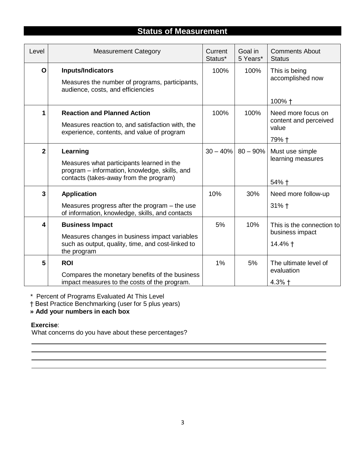### **Status of Measurement**

| Level          | <b>Measurement Category</b>                                                                                                                      | Current<br>Status* | Goal in<br>5 Years* | <b>Comments About</b><br><b>Status</b>                        |
|----------------|--------------------------------------------------------------------------------------------------------------------------------------------------|--------------------|---------------------|---------------------------------------------------------------|
| O              | <b>Inputs/Indicators</b><br>Measures the number of programs, participants,<br>audience, costs, and efficiencies                                  | 100%               | 100%                | This is being<br>accomplished now<br>100% +                   |
| 1              | <b>Reaction and Planned Action</b><br>Measures reaction to, and satisfaction with, the<br>experience, contents, and value of program             | 100%               | 100%                | Need more focus on<br>content and perceived<br>value<br>79% + |
| $\overline{2}$ | Learning<br>Measures what participants learned in the<br>program - information, knowledge, skills, and<br>contacts (takes-away from the program) | $30 - 40\%$        | $80 - 90\%$         | Must use simple<br>learning measures<br>54% +                 |
| 3              | <b>Application</b><br>Measures progress after the program $-$ the use<br>of information, knowledge, skills, and contacts                         | 10%                | 30%                 | Need more follow-up<br>$31%$ $\dagger$                        |
| 4              | <b>Business Impact</b><br>Measures changes in business impact variables<br>such as output, quality, time, and cost-linked to<br>the program      | 5%                 | 10%                 | This is the connection to<br>business impact<br>14.4% +       |
| 5              | <b>ROI</b><br>Compares the monetary benefits of the business<br>impact measures to the costs of the program.                                     | 1%                 | 5%                  | The ultimate level of<br>evaluation<br>$4.3%$ †               |

*\** Percent of Programs Evaluated At This Level

† Best Practice Benchmarking (user for 5 plus years)

**» Add your numbers in each box**

#### **Exercise**:

What concerns do you have about these percentages?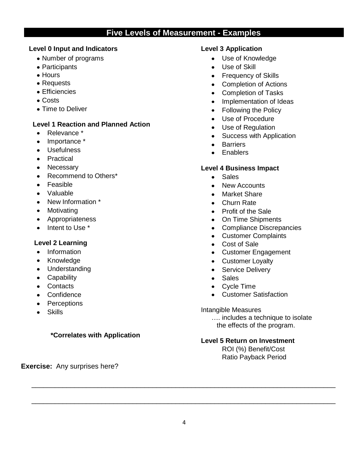### **Five Levels of Measurement - Examples**

#### **Level 0 Input and Indicators**

- Number of programs
- Participants
- Hours
- Requests
- Efficiencies
- Costs
- Time to Deliver

#### **Level 1 Reaction and Planned Action**

- $\bullet$ Relevance \*
- Importance \*
- Usefulness
- Practical
- Necessary
- Recommend to Others\*
- Feasible
- Valuable
- New Information \*
- Motivating
- Appropriateness  $\bullet$
- Intent to Use \*

#### **Level 2 Learning**

- Information
- Knowledge
- Understanding
- Capability
- Contacts
- Confidence
- Perceptions
- Skills

#### **\*Correlates with Application**

**Exercise:** Any surprises here?

#### **Level 3 Application**

- Use of Knowledge
- Use of Skill
- Frequency of Skills
- Completion of Actions
- Completion of Tasks
- Implementation of Ideas
- Following the Policy
- Use of Procedure
- Use of Regulation
- Success with Application
- Barriers
- Fnablers

#### **Level 4 Business Impact**

- **Sales**  $\bullet$
- New Accounts
- Market Share
- Churn Rate
- Profit of the Sale
- On Time Shipments
- Compliance Discrepancies
- Customer Complaints
- Cost of Sale
- Customer Engagement
- Customer Loyalty
- Service Delivery
- Sales
- Cycle Time
- Customer Satisfaction

Intangible Measures

…. includes a technique to isolate the effects of the program.

#### **Level 5 Return on Investment**

ROI (%) Benefit/Cost Ratio Payback Period

\_\_\_\_\_\_\_\_\_\_\_\_\_\_\_\_\_\_\_\_\_\_\_\_\_\_\_\_\_\_\_\_\_\_\_\_\_\_\_\_\_\_\_\_\_\_\_\_\_\_\_\_\_\_\_\_\_\_\_\_\_\_\_\_\_\_\_\_\_\_\_\_\_\_\_\_\_\_

\_\_\_\_\_\_\_\_\_\_\_\_\_\_\_\_\_\_\_\_\_\_\_\_\_\_\_\_\_\_\_\_\_\_\_\_\_\_\_\_\_\_\_\_\_\_\_\_\_\_\_\_\_\_\_\_\_\_\_\_\_\_\_\_\_\_\_\_\_\_\_\_\_\_\_\_\_\_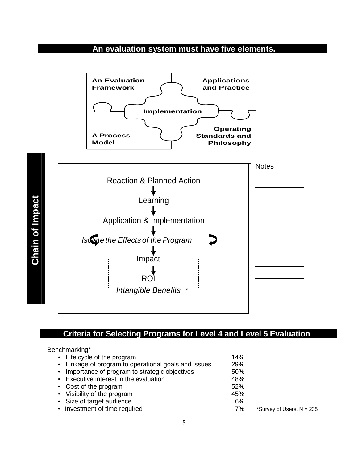### **An evaluation system must have five elements.**



### **Criteria for Selecting Programs for Level 4 and Level 5 Evaluation**

#### Benchmarking\*

| • Life cycle of the program                          | 14%                                                                     |
|------------------------------------------------------|-------------------------------------------------------------------------|
| • Linkage of program to operational goals and issues | 29%                                                                     |
| • Importance of program to strategic objectives      | 50%                                                                     |
|                                                      | 48%                                                                     |
| • Cost of the program                                | 52%                                                                     |
| • Visibility of the program                          | 45%                                                                     |
| • Size of target audience                            | 6%                                                                      |
|                                                      | 7%                                                                      |
|                                                      | • Executive interest in the evaluation<br>• Investment of time required |

 $*$ Survey of Users, N = 235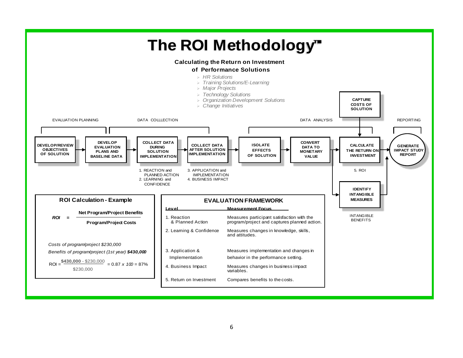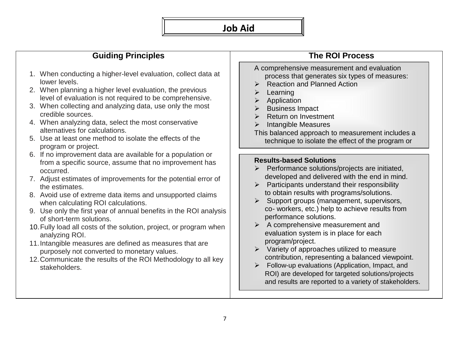## **Job Aid**

### **Guiding Principles**

- 1. When conducting a higher-level evaluation, collect data at lower levels.
- 2. When planning a higher level evaluation, the previous level of evaluation is not required to be comprehensive.
- 3. When collecting and analyzing data, use only the most credible sources.
- 4. When analyzing data, select the most conservative alternatives for calculations.
- 5. Use at least one method to isolate the effects of the program or project.
- 6. If no improvement data are available for a population or from a specific source, assume that no improvement has occurred.
- 7. Adjust estimates of improvements for the potential error of the estimates.
- 8. Avoid use of extreme data items and unsupported claims when calculating ROI calculations.
- 9. Use only the first year of annual benefits in the ROI analysis of short-term solutions.
- 10.Fully load all costs of the solution, project, or program when analyzing ROI.
- 11.Intangible measures are defined as measures that are purposely not converted to monetary values.
- 12.Communicate the results of the ROI Methodology to all key stakeholders.

### **The ROI Process**

- A comprehensive measurement and evaluation process that generates six types of measures:
- $\triangleright$  Reaction and Planned Action
- $\triangleright$  Learning
- Application
- Business Impact
- Return on Investment
- Intangible Measures

This balanced approach to measurement includes a technique to isolate the effect of the program or

#### **Results-based Solutions**

- $\triangleright$  Performance solutions/projects are initiated, developed and delivered with the end in mind.
- $\triangleright$  Participants understand their responsibility to obtain results with programs/solutions.
- $\triangleright$  Support groups (management, supervisors, co- workers, etc.) help to achieve results from performance solutions.
- $\triangleright$  A comprehensive measurement and evaluation system is in place for each program/project.
- $\triangleright$  Variety of approaches utilized to measure contribution, representing a balanced viewpoint.
- $\triangleright$  Follow-up evaluations (Application, Impact, and ROI) are developed for targeted solutions/projects and results are reported to a variety of stakeholders.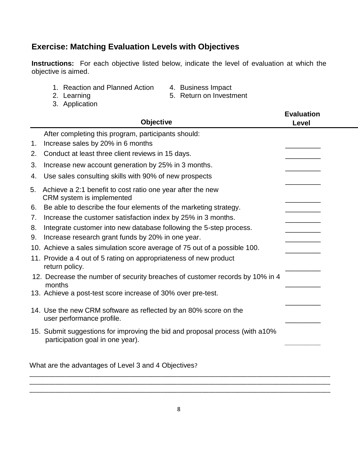### **Exercise: Matching Evaluation Levels with Objectives**

**Instructions:** For each objective listed below, indicate the level of evaluation at which the objective is aimed.

- 1. Reaction and Planned Action 4. Business Impact<br>2. Learning 1. Business 1. Return on Investre
	- 5. Return on Investment
- 
- 3. Application

|    | <b>Objective</b>                                                                                                   | <b>Evaluation</b><br>Level |
|----|--------------------------------------------------------------------------------------------------------------------|----------------------------|
|    | After completing this program, participants should:                                                                |                            |
| 1. | Increase sales by 20% in 6 months                                                                                  |                            |
| 2. | Conduct at least three client reviews in 15 days.                                                                  |                            |
| 3. | Increase new account generation by 25% in 3 months.                                                                |                            |
| 4. | Use sales consulting skills with 90% of new prospects                                                              |                            |
| 5. | Achieve a 2:1 benefit to cost ratio one year after the new<br>CRM system is implemented                            |                            |
| 6. | Be able to describe the four elements of the marketing strategy.                                                   |                            |
| 7. | Increase the customer satisfaction index by 25% in 3 months.                                                       |                            |
| 8. | Integrate customer into new database following the 5-step process.                                                 |                            |
| 9. | Increase research grant funds by 20% in one year.                                                                  |                            |
|    | 10. Achieve a sales simulation score average of 75 out of a possible 100.                                          |                            |
|    | 11. Provide a 4 out of 5 rating on appropriateness of new product<br>return policy.                                |                            |
|    | 12. Decrease the number of security breaches of customer records by 10% in 4<br>months                             |                            |
|    | 13. Achieve a post-test score increase of 30% over pre-test.                                                       |                            |
|    | 14. Use the new CRM software as reflected by an 80% score on the<br>user performance profile.                      |                            |
|    | 15. Submit suggestions for improving the bid and proposal process (with a 10%)<br>participation goal in one year). |                            |
|    | What are the advantages of Level 3 and 4 Objectives?                                                               |                            |

\_\_\_\_\_\_\_\_\_\_\_\_\_\_\_\_\_\_\_\_\_\_\_\_\_\_\_\_\_\_\_\_\_\_\_\_\_\_\_\_\_\_\_\_\_\_\_\_\_\_\_\_\_\_\_\_\_\_\_\_\_\_\_\_\_\_\_\_\_\_\_\_\_\_\_\_\_\_\_\_\_\_\_\_\_\_\_\_\_\_\_\_\_\_ \_\_\_\_\_\_\_\_\_\_\_\_\_\_\_\_\_\_\_\_\_\_\_\_\_\_\_\_\_\_\_\_\_\_\_\_\_\_\_\_\_\_\_\_\_\_\_\_\_\_\_\_\_\_\_\_\_\_\_\_\_\_\_\_\_\_\_\_\_\_\_\_\_\_\_\_\_\_\_\_\_\_\_\_\_\_\_\_\_\_\_\_\_\_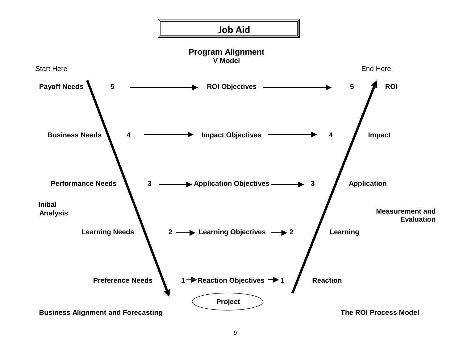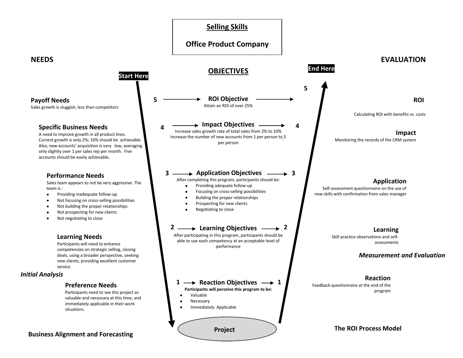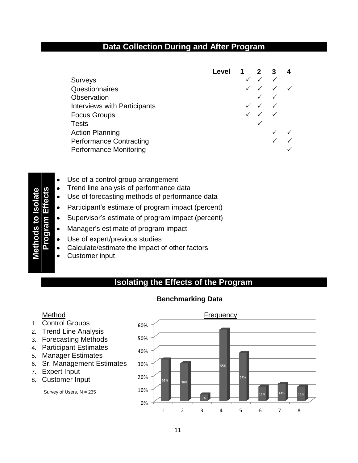### **Data Collection During and After Program**

|                                     | Level | 1 | $\mathbf{2}$ | 3 |  |
|-------------------------------------|-------|---|--------------|---|--|
| <b>Surveys</b>                      |       |   |              |   |  |
| Questionnaires                      |       |   |              |   |  |
| Observation                         |       |   |              |   |  |
| <b>Interviews with Participants</b> |       |   |              |   |  |
| <b>Focus Groups</b>                 |       |   |              |   |  |
| <b>Tests</b>                        |       |   |              |   |  |
| <b>Action Planning</b>              |       |   |              |   |  |
| <b>Performance Contracting</b>      |       |   |              |   |  |
| <b>Performance Monitoring</b>       |       |   |              |   |  |

- $\bullet$ Use of a control group arrangement
- Trend line analysis of performance data  $\bullet$
- $\bullet$ Use of forecasting methods of performance data
- Participant's estimate of program impact (percent)  $\bullet$
- Supervisor's estimate of program impact (percent)  $\bullet$
- Manager's estimate of program impact  $\bullet$
- Use of expert/previous studies  $\bullet$
- Calculate/estimate the impact of other factors  $\bullet$
- $\bullet$ Customer input

### **Isolating the Effects of the Program**

#### Method **Frequency** 60% 50% 40% 30% 55% 20% 37% 32% 10% 0%  $\overline{2}$ 3 5  $\overline{7}$  $\mathbf{1}$ 4 6 8

#### **Benchmarking Data**

**Method**

**s to Isol**

**Program Effe**

**cts**

**ate**

- 1. Control Groups
- 2. Trend Line Analysis
- 3. Forecasting Methods
- 4. Participant Estimates
- 5. Manager Estimates
- 6. Sr. Management Estimates
- 7. Expert Input
- 8. Customer Input

Survey of Users, N = 235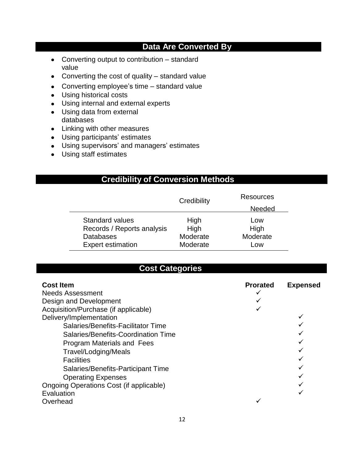### **Data Are Converted By**

- Converting output to contribution standard value
- Converting the cost of quality standard value
- Converting employee's time standard value
- Using historical costs
- Using internal and external experts
- Using data from external databases
- Linking with other measures
- Using participants' estimates
- Using supervisors' and managers' estimates
- Using staff estimates

### **Credibility of Conversion Methods**

|                                                                                                      | Credibility                          | Resources                      |
|------------------------------------------------------------------------------------------------------|--------------------------------------|--------------------------------|
|                                                                                                      |                                      | <b>Needed</b>                  |
| <b>Standard values</b><br>Records / Reports analysis<br><b>Databases</b><br><b>Expert estimation</b> | High<br>High<br>Moderate<br>Moderate | Low<br>High<br>Moderate<br>Low |

### **Cost Categories**

| <b>Cost Item</b><br><b>Needs Assessment</b><br>Design and Development<br>Acquisition/Purchase (if applicable)<br>Delivery/Implementation<br>Salaries/Benefits-Facilitator Time<br>Salaries/Benefits-Coordination Time<br><b>Program Materials and Fees</b><br>Travel/Lodging/Meals<br><b>Facilities</b><br>Salaries/Benefits-Participant Time<br><b>Operating Expenses</b> | <b>Prorated</b> | <b>Expensed</b> |
|----------------------------------------------------------------------------------------------------------------------------------------------------------------------------------------------------------------------------------------------------------------------------------------------------------------------------------------------------------------------------|-----------------|-----------------|
| Ongoing Operations Cost (if applicable)<br>Evaluation<br>Overhead                                                                                                                                                                                                                                                                                                          |                 |                 |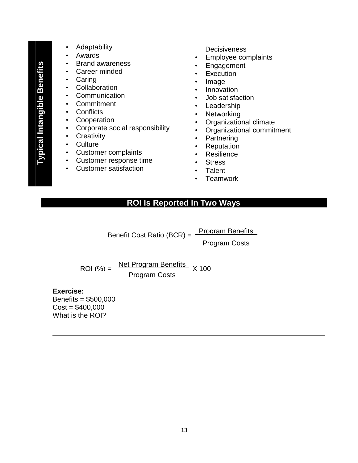- Adaptability
- Awards
- Brand awareness
- Career minded
- Caring
- Collaboration
- Communication
- Commitment
- Conflicts
- Cooperation
- Corporate social responsibility
- Creativity
- Culture
- Customer complaints
- Customer response time
- Customer satisfaction

**Decisiveness** 

- Employee complaints
- Engagement
- Execution
- Image
- Innovation
- Job satisfaction
- Leadership
- Networking
- Organizational climate
- Organizational commitment
- Partnering
- Reputation
- Resilience
- Stress
- Talent
- Teamwork

### **ROI Is Reported In Two Ways**

Benefit Cost Ratio (BCR) = Program Benefits Program Costs

ROI  $(\%) = \frac{\text{Net Program Benefits}}{X\ 100}$ Program Costs

#### **Exercise:**

Benefits = \$500,000  $Cost = $400,000$ What is the ROI?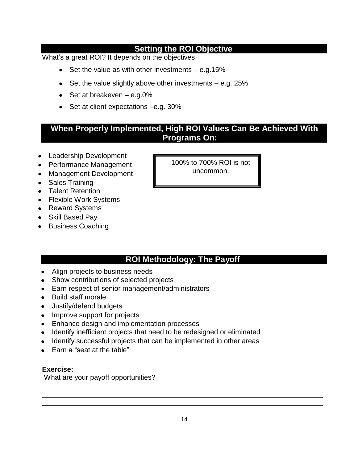### **Setting the ROI Objective**

What's a great ROI? It depends on the objectives

- Set the value as with other investments e.g.15%  $\bullet$
- $\bullet$  Set the value slightly above other investments  $-$  e.g. 25%
- $\bullet$  Set at breakeven  $-$  e.g.0%
- Set at client expectations -e.g. 30%

### **When Properly Implemented, High ROI Values Can Be Achieved With Programs On:**

- Leadership Development
- Performance Management
- Management Development
- Sales Training
- Talent Retention
- Flexible Work Systems
- Reward Systems
- Skill Based Pay
- Business Coaching

100% to 700% ROI is not uncommon.

### **ROI Methodology: The Payoff**

- Align projects to business needs
- Show contributions of selected projects
- Earn respect of senior management/administrators
- Build staff morale
- Justify/defend budgets
- Improve support for projects
- Enhance design and implementation processes
- Identify inefficient projects that need to be redesigned or eliminated
- Identify successful projects that can be implemented in other areas
- Earn a "seat at the table"

#### **Exercise:**

What are your payoff opportunities?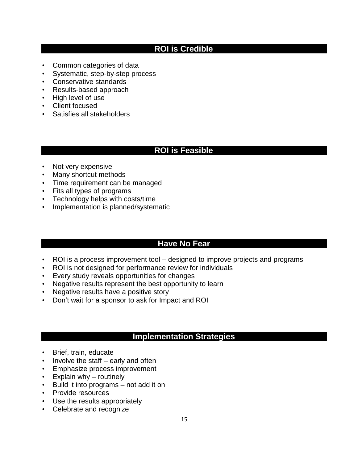### **ROI is Credible**

- Common categories of data
- Systematic, step-by-step process
- Conservative standards
- Results-based approach
- High level of use
- Client focused
- Satisfies all stakeholders

### **ROI is Feasible**

- Not very expensive
- Many shortcut methods
- Time requirement can be managed
- Fits all types of programs
- Technology helps with costs/time
- Implementation is planned/systematic

### **Have No Fear**

- ROI is a process improvement tool designed to improve projects and programs
- ROI is not designed for performance review for individuals
- Every study reveals opportunities for changes
- Negative results represent the best opportunity to learn
- Negative results have a positive story
- Don't wait for a sponsor to ask for Impact and ROI

### **Implementation Strategies**

- Brief, train, educate
- Involve the staff early and often
- Emphasize process improvement
- Explain why routinely
- Build it into programs not add it on
- Provide resources
- Use the results appropriately
- Celebrate and recognize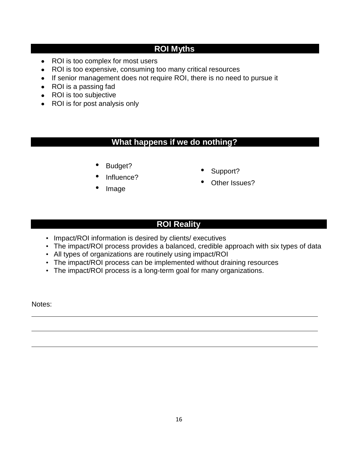### **ROI Myths**

- ROI is too complex for most users
- ROI is too expensive, consuming too many critical resources
- If senior management does not require ROI, there is no need to pursue it
- ROI is a passing fad
- ROI is too subjective
- ROI is for post analysis only

### **What happens if we do nothing?**

- Budget?
- Influence?
- Image
- Support?
- Other Issues?

### **ROI Reality**

- Impact/ROI information is desired by clients/ executives
- The impact/ROI process provides a balanced, credible approach with six types of data
- All types of organizations are routinely using impact/ROI
- The impact/ROI process can be implemented without draining resources
- The impact/ROI process is a long-term goal for many organizations.

Notes: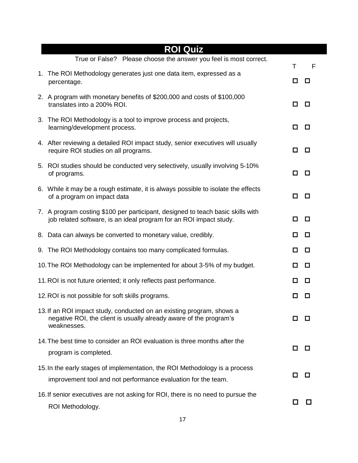| <b>ROI Quiz</b>                                                                                                                                            |                                                                                                                                                       |        |   |
|------------------------------------------------------------------------------------------------------------------------------------------------------------|-------------------------------------------------------------------------------------------------------------------------------------------------------|--------|---|
|                                                                                                                                                            | True or False? Please choose the answer you feel is most correct.                                                                                     | Τ      | F |
|                                                                                                                                                            | 1. The ROI Methodology generates just one data item, expressed as a<br>percentage.                                                                    | 0      | □ |
|                                                                                                                                                            | 2. A program with monetary benefits of \$200,000 and costs of \$100,000<br>translates into a 200% ROI.                                                | 0      | □ |
|                                                                                                                                                            | 3. The ROI Methodology is a tool to improve process and projects,<br>learning/development process.                                                    | $\Box$ | O |
|                                                                                                                                                            | 4. After reviewing a detailed ROI impact study, senior executives will usually<br>require ROI studies on all programs.                                | 0      | □ |
|                                                                                                                                                            | 5. ROI studies should be conducted very selectively, usually involving 5-10%<br>of programs.                                                          | 0      | □ |
|                                                                                                                                                            | 6. While it may be a rough estimate, it is always possible to isolate the effects<br>of a program on impact data                                      | 0.     | □ |
|                                                                                                                                                            | 7. A program costing \$100 per participant, designed to teach basic skills with<br>job related software, is an ideal program for an ROI impact study. | $\Box$ | □ |
|                                                                                                                                                            | 8. Data can always be converted to monetary value, credibly.                                                                                          | 0      | □ |
|                                                                                                                                                            | 9. The ROI Methodology contains too many complicated formulas.                                                                                        | 0      | □ |
| 10. The ROI Methodology can be implemented for about 3-5% of my budget.                                                                                    |                                                                                                                                                       | □      | □ |
| 11. ROI is not future oriented; it only reflects past performance.                                                                                         |                                                                                                                                                       | □      | □ |
| 12. ROI is not possible for soft skills programs.                                                                                                          |                                                                                                                                                       | □      | □ |
| 13. If an ROI impact study, conducted on an existing program, shows a<br>negative ROI, the client is usually already aware of the program's<br>weaknesses. |                                                                                                                                                       | ப      | ш |
| 14. The best time to consider an ROI evaluation is three months after the                                                                                  |                                                                                                                                                       |        |   |
|                                                                                                                                                            | program is completed.                                                                                                                                 | □      | 0 |
|                                                                                                                                                            | 15. In the early stages of implementation, the ROI Methodology is a process                                                                           | □      | □ |
|                                                                                                                                                            | improvement tool and not performance evaluation for the team.                                                                                         |        |   |
|                                                                                                                                                            | 16. If senior executives are not asking for ROI, there is no need to pursue the<br>ROI Methodology.                                                   | ப      | □ |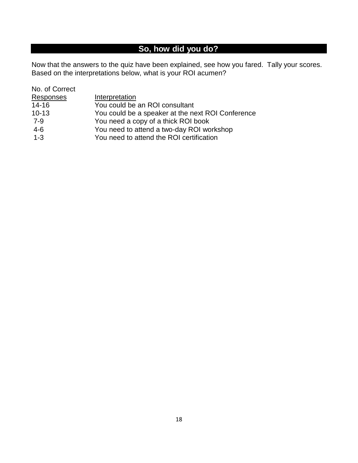## **So, how did you do?**

Now that the answers to the quiz have been explained, see how you fared. Tally your scores. Based on the interpretations below, what is your ROI acumen?

| No. of Correct |                                                   |
|----------------|---------------------------------------------------|
| Responses      | Interpretation                                    |
| 14-16          | You could be an ROI consultant                    |
| $10 - 13$      | You could be a speaker at the next ROI Conference |
| $7-9$          | You need a copy of a thick ROI book               |
| $4-6$          | You need to attend a two-day ROI workshop         |
| $1 - 3$        | You need to attend the ROI certification          |
|                |                                                   |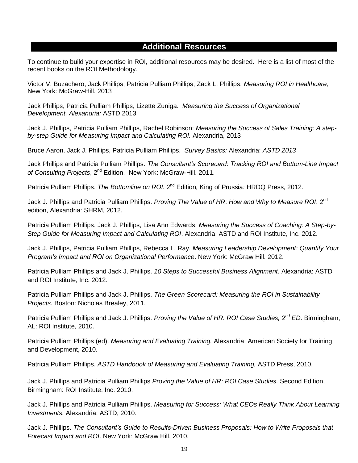#### **Additional Resources**

To continue to build your expertise in ROI, additional resources may be desired. Here is a list of most of the recent books on the ROI Methodology.

Victor V. Buzachero, Jack Phillips, Patricia Pulliam Phillips, Zack L. Phillips: *Measuring ROI in Healthcare,*  New York: McGraw-Hill. 2013

Jack Phillips, Patricia Pulliam Phillips, Lizette Zuniga. *Measuring the Success of Organizational Development, Alexandria:* ASTD 2013

Jack J. Phillips, Patricia Pulliam Phillips, Rachel Robinson: *Measuring the Success of Sales Training: A stepby-step Guide for Measuring Impact and Calculating ROI.* Alexandria, 2013

Bruce Aaron, Jack J. Phillips, Patricia Pulliam Phillips. *Survey Basics:* Alexandria: *ASTD 2013*

Jack Phillips and Patricia Pulliam Phillips. *The Consultant's Scorecard: Tracking ROI and Bottom-Line Impact*  of Consulting Projects, 2<sup>nd</sup> Edition. New York: McGraw-Hill. 2011.

Patricia Pulliam Phillips. The Bottomline on ROI. 2<sup>nd</sup> Edition, King of Prussia: HRDQ Press, 2012.

Jack J. Phillips and Patricia Pulliam Phillips. *Proving The Value of HR*: *How and Why to Measure ROI*, 2nd edition, Alexandria: SHRM, 2012.

Patricia Pulliam Phillips, Jack J. Phillips, Lisa Ann Edwards. *Measuring the Success of Coaching: A Step-by-Step Guide for Measuring Impact and Calculating ROI*. Alexandria: ASTD and ROI Institute, Inc. 2012.

Jack J. Phillips, Patricia Pulliam Phillips, Rebecca L. Ray. *Measuring Leadership Development: Quantify Your Program's Impact and ROI on Organizational Performance*. New York: McGraw Hill. 2012.

Patricia Pulliam Phillips and Jack J. Phillips. *10 Steps to Successful Business Alignment*. Alexandria: ASTD and ROI Institute, Inc. 2012.

Patricia Pulliam Phillips and Jack J. Phillips. *The Green Scorecard: Measuring the ROI in Sustainability Projects*. Boston: Nicholas Brealey, 2011.

Patricia Pulliam Phillips and Jack J. Phillips. *Proving the Value of HR: ROI Case Studies, 2nd ED*. Birmingham, AL: ROI Institute, 2010.

Patricia Pulliam Phillips (ed). *Measuring and Evaluating Training.* Alexandria: American Society for Training and Development, 2010.

Patricia Pulliam Phillips. *ASTD Handbook of Measuring and Evaluating Training,* ASTD Press, 2010.

Jack J. Phillips and Patricia Pulliam Phillips *Proving the Value of HR: ROI Case Studies,* Second Edition, Birmingham: ROI Institute, Inc. 2010.

Jack J. Phillips and Patricia Pulliam Phillips. *Measuring for Success: What CEOs Really Think About Learning Investments.* Alexandria: ASTD, 2010.

Jack J. Phillips. *The Consultant's Guide to Results-Driven Business Proposals: How to Write Proposals that Forecast Impact and ROI*. New York: McGraw Hill, 2010.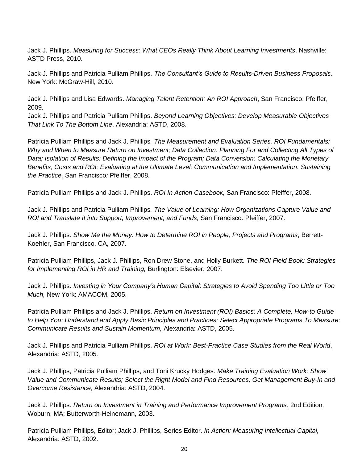Jack J. Phillips. *Measuring for Success: What CEOs Really Think About Learning Investments*. Nashville: ASTD Press, 2010.

Jack J. Phillips and Patricia Pulliam Phillips. *The Consultant's Guide to Results-Driven Business Proposals,* New York: McGraw-Hill, 2010.

Jack J. Phillips and Lisa Edwards. *Managing Talent Retention: An ROI Approach*, San Francisco: Pfeiffer, 2009.

Jack J. Phillips and Patricia Pulliam Phillips. *Beyond Learning Objectives: Develop Measurable Objectives That Link To The Bottom Line*, Alexandria: ASTD, 2008.

Patricia Pulliam Phillips and Jack J. Phillips*. The Measurement and Evaluation Series. ROI Fundamentals: Why and When to Measure Return on Investment; Data Collection: Planning For and Collecting All Types of Data; Isolation of Results: Defining the Impact of the Program; Data Conversion: Calculating the Monetary Benefits, Costs and ROI: Evaluating at the Ultimate Level; Communication and Implementation: Sustaining the Practice,* San Francisco*:* Pfeiffer, 2008.

Patricia Pulliam Phillips and Jack J. Phillips. *ROI In Action Casebook,* San Francisco: Pfeiffer, 2008.

Jack J. Phillips and Patricia Pulliam Phillips*. The Value of Learning: How Organizations Capture Value and ROI and Translate It into Support, Improvement, and Funds,* San Francisco: Pfeiffer, 2007.

Jack J. Phillips. *Show Me the Money: How to Determine ROI in People, Projects and Programs*, Berrett-Koehler, San Francisco, CA, 2007.

Patricia Pulliam Phillips, Jack J. Phillips, Ron Drew Stone, and Holly Burkett. *The ROI Field Book: Strategies for Implementing ROI in HR and Training,* Burlington: Elsevier, 2007.

Jack J. Phillips. *Investing in Your Company's Human Capital*: *Strategies to Avoid Spending Too Little or Too Much,* New York: AMACOM, 2005.

Patricia Pulliam Phillips and Jack J. Phillips. *Return on Investment (ROI) Basics: A Complete, How-to Guide to Help You: Understand and Apply Basic Principles and Practices; Select Appropriate Programs To Measure; Communicate Results and Sustain Momentum,* Alexandria: ASTD, 2005.

Jack J. Phillips and Patricia Pulliam Phillips. *ROI at Work: Best-Practice Case Studies from the Real World*, Alexandria: ASTD, 2005.

Jack J. Phillips, Patricia Pulliam Phillips, and Toni Krucky Hodges. *Make Training Evaluation Work: Show Value and Communicate Results; Select the Right Model and Find Resources; Get Management Buy-In and Overcome Resistance,* Alexandria: ASTD, 2004.

Jack J. Phillips. *Return on Investment in Training and Performance Improvement Programs,* 2nd Edition*,* Woburn, MA: Butterworth-Heinemann, 2003.

Patricia Pulliam Phillips, Editor; Jack J. Phillips, Series Editor. *In Action: Measuring Intellectual Capital,*  Alexandria: ASTD, 2002.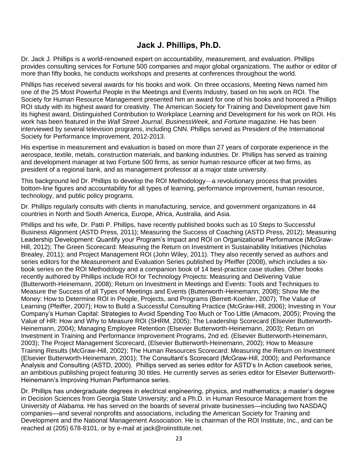### **Jack J. Phillips, Ph.D.**

Dr. Jack J. Phillips is a world-renowned expert on accountability, measurement, and evaluation. Phillips provides consulting services for Fortune 500 companies and major global organizations. The author or editor of more than fifty books, he conducts workshops and presents at conferences throughout the world.

Phillips has received several awards for his books and work. On three occasions, Meeting News named him one of the 25 Most Powerful People in the Meetings and Events Industry, based on his work on ROI. The Society for Human Resource Management presented him an award for one of his books and honored a Phillips ROI study with its highest award for creativity. The American Society for Training and Development gave him its highest award, Distinguished Contribution to Workplace Learning and Development for his work on ROI. His work has been featured in the *Wall Street Journal*, *BusinessWeek*, and *Fortune* magazine. He has been interviewed by several television programs, including CNN. Phillips served as President of the International Society for Performance Improvement, 2012-2013.

His expertise in measurement and evaluation is based on more than 27 years of corporate experience in the aerospace, textile, metals, construction materials, and banking industries. Dr. Phillips has served as training and development manager at two Fortune 500 firms, as senior human resource officer at two firms, as president of a regional bank, and as management professor at a major state university.

This background led Dr. Phillips to develop the ROI Methodology—a revolutionary process that provides bottom-line figures and accountability for all types of learning, performance improvement, human resource, technology, and public policy programs.

Dr. Phillips regularly consults with clients in manufacturing, service, and government organizations in 44 countries in North and South America, Europe, Africa, Australia, and Asia.

Phillips and his wife, Dr. Patti P. Phillips, have recently published books such as 10 Steps to Successful Business Alignment (ASTD Press, 2011); Measuring the Success of Coaching (ASTD Press, 2012); Measuring Leadership Development: Quantify your Program's Impact and ROI on Organizational Performance (McGraw-Hill, 2012); The Green Scorecard: Measuring the Return on Investment in Sustainability Initiatives (Nicholas Brealey, 2011); and Project Management ROI (John Wiley, 2011). They also recently served as authors and series editors for the Measurement and Evaluation Series published by Pfeiffer (2008), which includes a sixbook series on the ROI Methodology and a companion book of 14 best-practice case studies. Other books recently authored by Phillips include ROI for Technology Projects: Measuring and Delivering Value (Butterworth-Heinemann, 2008); Return on Investment in Meetings and Events: Tools and Techniques to Measure the Success of all Types of Meetings and Events (Butterworth-Heinemann, 2008); Show Me the Money: How to Determine ROI in People, Projects, and Programs (Berrett-Koehler, 2007); The Value of Learning (Pfeiffer, 2007); How to Build a Successful Consulting Practice (McGraw-Hill, 2006); Investing in Your Company's Human Capital: Strategies to Avoid Spending Too Much or Too Little (Amacom, 2005); Proving the Value of HR: How and Why to Measure ROI (SHRM, 2005); The Leadership Scorecard (Elsevier Butterworth-Heinemann, 2004); Managing Employee Retention (Elsevier Butterworth-Heinemann, 2003); Return on Investment in Training and Performance Improvement Programs, 2nd ed. (Elsevier Butterworth-Heinemann, 2003); The Project Management Scorecard, (Elsevier Butterworth-Heinemann, 2002); How to Measure Training Results (McGraw-Hill, 2002); The Human Resources Scorecard: Measuring the Return on Investment (Elsevier Butterworth-Heinemann, 2001); The Consultant's Scorecard (McGraw-Hill, 2000); and Performance Analysis and Consulting (ASTD, 2000). Phillips served as series editor for ASTD's In Action casebook series, an ambitious publishing project featuring 30 titles. He currently serves as series editor for Elsevier Butterworth-Heinemann's Improving Human Performance series.

Dr. Phillips has undergraduate degrees in electrical engineering, physics, and mathematics; a master's degree in Decision Sciences from Georgia State University; and a Ph.D. in Human Resource Management from the University of Alabama. He has served on the boards of several private businesses—including two NASDAQ companies—and several nonprofits and associations, including the American Society for Training and Development and the National Management Association. He is chairman of the ROI Institute, Inc., and can be reached at (205) 678-8101, or by e-mail at jack@roiinstitute.net.